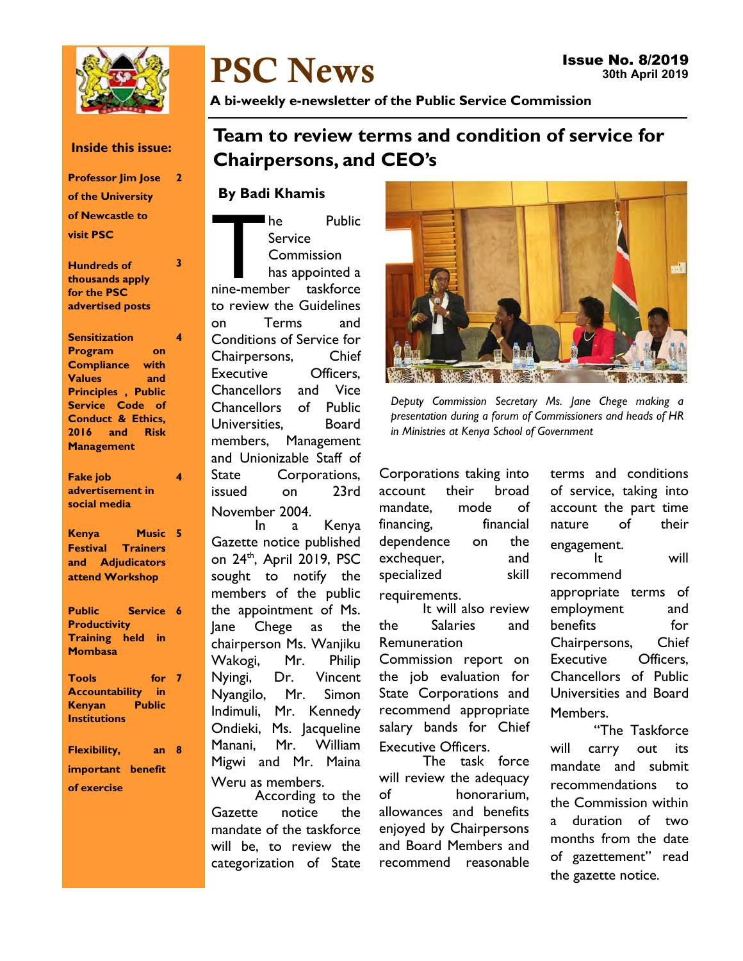

#### Issue No. 8/2019 30th April 2019

A bi-weekly e-newsletter of the Public Service Commission

## Team to review terms and condition of service for Chairpersons, and CEO's

## By Badi Khamis

PSC News

The Public<br>
Service<br>
Commission<br>
has appointed a<br>
nine-member taskforce he Public Service **Commission** has appointed a to review the Guidelines on Terms and Conditions of Service for Chairpersons, Chief Executive Officers, Chancellors and Vice Chancellors of Public Universities, Board members, Management and Unionizable Staff of State Corporations, issued on 23rd November 2004.

In a Kenya Gazette notice published on 24<sup>th</sup>, April 2019, PSC sought to notify the members of the public the appointment of Ms. Jane Chege as the chairperson Ms. Wanjiku Wakogi, Mr. Philip Nyingi, Dr. Vincent Nyangilo, Mr. Simon Indimuli, Mr. Kennedy Ondieki, Ms. Jacqueline Manani, Mr. William Migwi and Mr. Maina Weru as members.

According to the Gazette notice the mandate of the taskforce will be, to review the categorization of State



Deputy Commission Secretary Ms. Jane Chege making a presentation during a forum of Commissioners and heads of HR in Ministries at Kenya School of Government

Corporations taking into account their broad mandate, mode of financing, financial dependence on the exchequer, and specialized skill requirements.

It will also review the Salaries and Remuneration Commission report on

the job evaluation for State Corporations and recommend appropriate salary bands for Chief Executive Officers.

The task force will review the adequacy of honorarium, allowances and benefits enjoyed by Chairpersons and Board Members and recommend reasonable terms and conditions of service, taking into account the part time nature of their engagement.<br>It will recommend appropriate terms of employment and benefits for Chairpersons, Chief Executive Officers, Chancellors of Public Universities and Board Members.

"The Taskforce will carry out its mandate and submit recommendations to the Commission within a duration of two months from the date of gazettement" read the gazette notice.

### Inside this issue:

Professor Jim Jose 2 of the University of Newcastle to visit PSC

Hundreds of thousands apply for the PSC advertised posts 3

Sensitization Program on Compliance with Values and Principles , Public Service Code of Conduct & Ethics, 2016 and Risk **Management** 4

Fake job advertisement in social media 4

Kenya Festival Trainers and Adjudicators attend Workshop Music 5

Public Service 6 **Productivity** Training held in **Mombasa** 

**Tools** Accountability in Kenyan Public **Institutions** for 7

Flexibility, important benefit of exercise  $an<sub>8</sub>$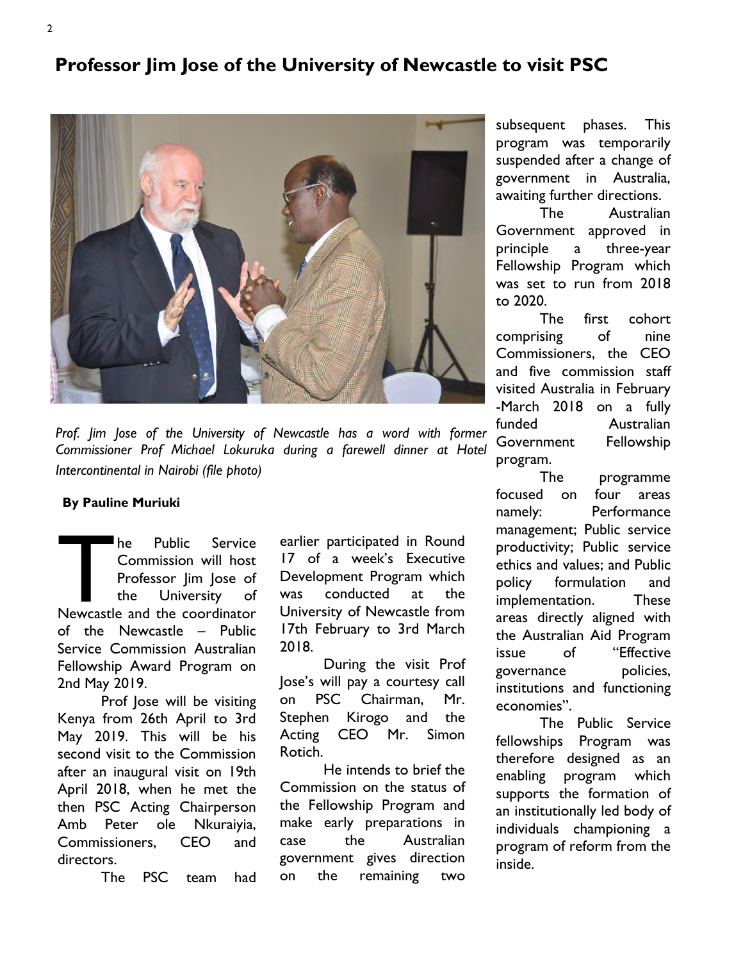# Professor Jim Jose of the University of Newcastle to visit PSC



Prof. Jim Jose of the University of Newcastle has a word with former Commissioner Prof Michael Lokuruka during a farewell dinner at Hotel Intercontinental in Nairobi (file photo)

### By Pauline Muriuki

The Public Service<br>
Commission will host<br>
Professor Jim Jose of<br>
the University of<br>
Newcastle and the coordinator he Public Service Commission will host Professor Jim Jose of the University of of the Newcastle – Public Service Commission Australian Fellowship Award Program on 2nd May 2019.

Prof Jose will be visiting Kenya from 26th April to 3rd May 2019. This will be his second visit to the Commission after an inaugural visit on 19th April 2018, when he met the then PSC Acting Chairperson Amb Peter ole Nkuraiyia, Commissioners, CEO and directors.

The PSC team had

earlier participated in Round 17 of a week's Executive Development Program which was conducted at the University of Newcastle from 17th February to 3rd March 2018.

During the visit Prof Jose's will pay a courtesy call on PSC Chairman, Mr. Stephen Kirogo and the Acting CEO Mr. Simon Rotich.

He intends to brief the Commission on the status of the Fellowship Program and make early preparations in case the Australian government gives direction on the remaining two

subsequent phases. This program was temporarily suspended after a change of government in Australia, awaiting further directions.

The Australian Government approved in principle a three-year Fellowship Program which was set to run from 2018 to 2020.

The first cohort comprising of nine Commissioners, the CEO and five commission staff visited Australia in February -March 2018 on a fully funded Australian Government Fellowship program.

The programme focused on four areas namely: Performance management; Public service productivity; Public service ethics and values; and Public policy formulation and implementation. These areas directly aligned with the Australian Aid Program issue of "Effective governance policies, institutions and functioning economies".

The Public Service fellowships Program was therefore designed as an enabling program which supports the formation of an institutionally led body of individuals championing a program of reform from the inside.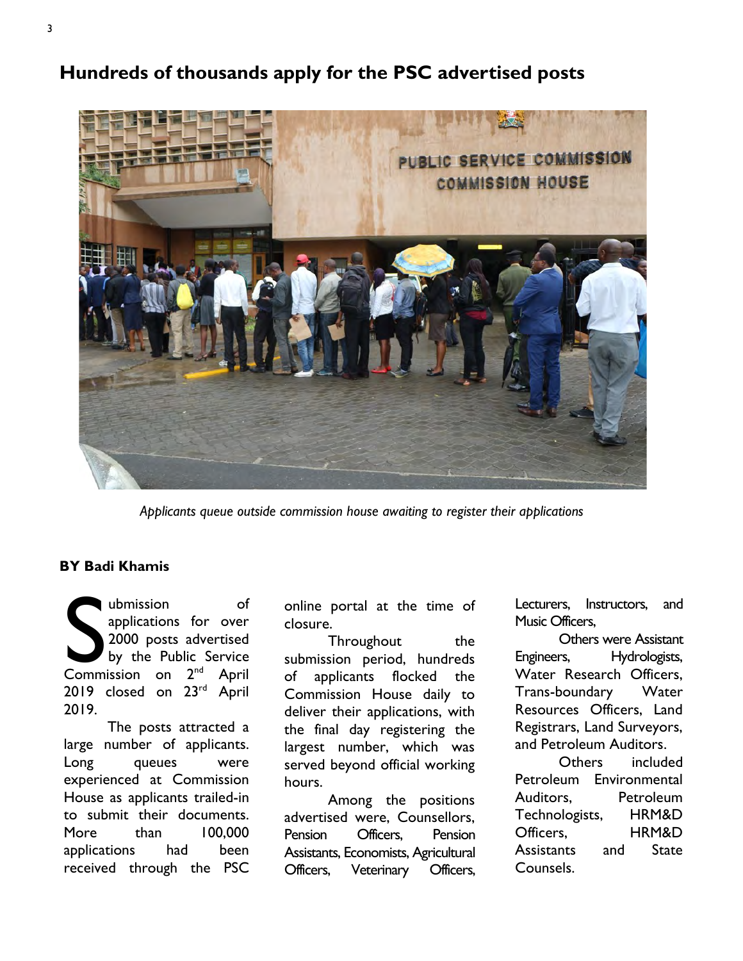Hundreds of thousands apply for the PSC advertised posts



Applicants queue outside commission house awaiting to register their applications

### BY Badi Khamis

ubmission of<br>applications for over<br>2000 posts advertised<br>by the Public Service<br>Commission on 2<sup>nd</sup> April ubmission of applications for over 2000 posts advertised by the Public Service 2019 closed on 23<sup>rd</sup> April 2019.

The posts attracted a large number of applicants. Long queues were experienced at Commission House as applicants trailed-in to submit their documents. More than 100,000 applications had been received through the PSC

online portal at the time of closure.

Throughout the submission period, hundreds of applicants flocked the Commission House daily to deliver their applications, with the final day registering the largest number, which was served beyond official working hours.

Among the positions advertised were, Counsellors, Pension Officers, Pension Assistants, Economists, Agricultural Officers, Veterinary Officers,

Lecturers, Instructors, and Music Officers,

Others were Assistant Engineers, Hydrologists, Water Research Officers, Trans-boundary Water Resources Officers, Land Registrars, Land Surveyors, and Petroleum Auditors.

Others included Petroleum Environmental Auditors, Petroleum Technologists, HRM&D Officers, HRM&D Assistants and State Counsels.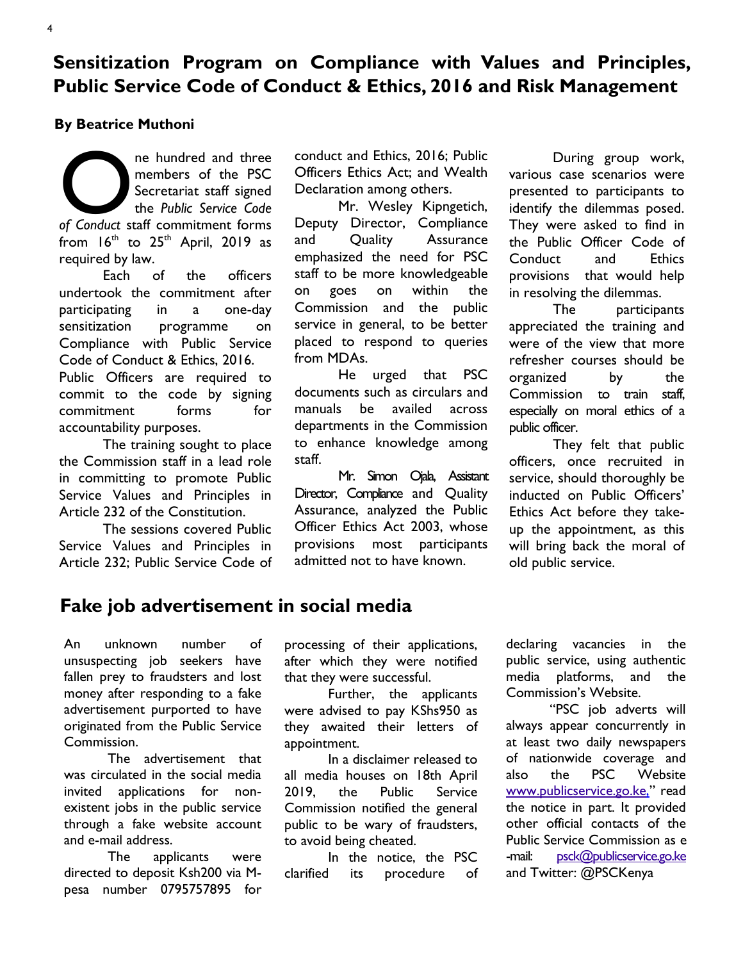# Sensitization Program on Compliance with Values and Principles, Public Service Code of Conduct & Ethics, 2016 and Risk Management

### By Beatrice Muthoni

ne hundred and three<br>members of the PSC<br>Secretariat staff signed<br>the *Public Service Code*<br>of Conduct staff commitment forms ne hundred and three members of the PSC Secretariat staff signed the Public Service Code from  $16<sup>th</sup>$  to  $25<sup>th</sup>$  April, 2019 as required by law.

Each of the officers undertook the commitment after participating in a one-day sensitization programme on Compliance with Public Service Code of Conduct & Ethics, 2016. Public Officers are required to commit to the code by signing

commitment forms for accountability purposes.

The training sought to place the Commission staff in a lead role in committing to promote Public Service Values and Principles in Article 232 of the Constitution.

The sessions covered Public Service Values and Principles in Article 232; Public Service Code of conduct and Ethics, 2016; Public Officers Ethics Act; and Wealth Declaration among others.

Mr. Wesley Kipngetich, Deputy Director, Compliance and Quality Assurance emphasized the need for PSC staff to be more knowledgeable on goes on within the Commission and the public service in general, to be better placed to respond to queries from MDAs.

He urged that PSC documents such as circulars and manuals be availed across departments in the Commission to enhance knowledge among staff.

Mr. Simon Ojala, Assistant Director, Compliance and Quality Assurance, analyzed the Public Officer Ethics Act 2003, whose provisions most participants admitted not to have known.

During group work, various case scenarios were presented to participants to identify the dilemmas posed. They were asked to find in the Public Officer Code of Conduct and Ethics provisions that would help in resolving the dilemmas.

The participants appreciated the training and were of the view that more refresher courses should be organized by the Commission to train staff, especially on moral ethics of a public officer.

They felt that public officers, once recruited in service, should thoroughly be inducted on Public Officers' Ethics Act before they takeup the appointment, as this will bring back the moral of old public service.

## Fake job advertisement in social media

An unknown number of unsuspecting job seekers have fallen prey to fraudsters and lost money after responding to a fake advertisement purported to have originated from the Public Service Commission.

The advertisement that was circulated in the social media invited applications for nonexistent jobs in the public service through a fake website account and e-mail address.

The applicants were directed to deposit Ksh200 via Mpesa number 0795757895 for processing of their applications, after which they were notified that they were successful.

Further, the applicants were advised to pay KShs950 as they awaited their letters of appointment.

In a disclaimer released to all media houses on 18th April 2019, the Public Service Commission notified the general public to be wary of fraudsters, to avoid being cheated.

In the notice, the PSC clarified its procedure of declaring vacancies in the public service, using authentic media platforms, and the Commission's Website.

"PSC job adverts will always appear concurrently in at least two daily newspapers of nationwide coverage and also the PSC Website www.publicservice.go.ke," read the notice in part. It provided other official contacts of the Public Service Commission as e -mail: psck@publicservice.go.ke and Twitter: @PSCKenya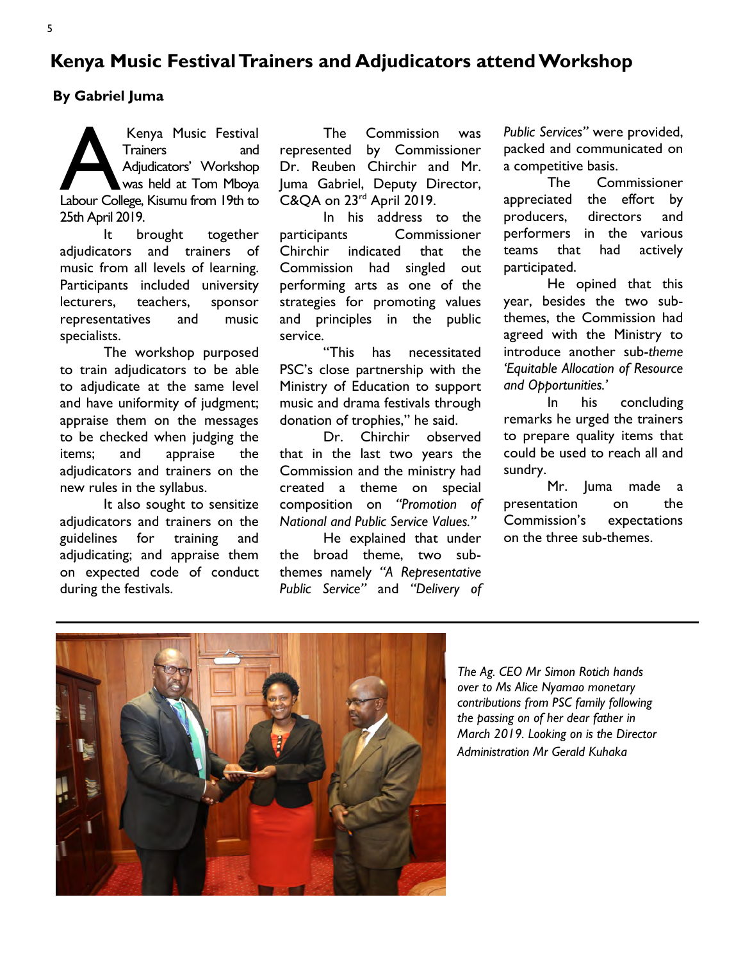## Kenya Music Festival Trainers and Adjudicators attend Workshop

By Gabriel Juma

Kenya Music Festival<br>Trainers and<br>Adjudicators' Workshop<br>Labour College, Kisumu from 19th to Kenya Music Festival Trainers and Adjudicators' Workshop was held at Tom Mboya 25th April 2019.

It brought together adjudicators and trainers of music from all levels of learning. Participants included university lecturers, teachers, sponsor representatives and music specialists.

The workshop purposed to train adjudicators to be able to adjudicate at the same level and have uniformity of judgment; appraise them on the messages to be checked when judging the items; and appraise the adjudicators and trainers on the new rules in the syllabus.

It also sought to sensitize adjudicators and trainers on the guidelines for training and adjudicating; and appraise them on expected code of conduct during the festivals.

The Commission was represented by Commissioner Dr. Reuben Chirchir and Mr. Juma Gabriel, Deputy Director, C&QA on 23<sup>rd</sup> April 2019.

In his address to the participants Commissioner Chirchir indicated that the Commission had singled out performing arts as one of the strategies for promoting values and principles in the public service.

"This has necessitated PSC's close partnership with the Ministry of Education to support music and drama festivals through donation of trophies," he said.

Dr. Chirchir observed that in the last two years the Commission and the ministry had created a theme on special composition on "Promotion of National and Public Service Values."

He explained that under the broad theme, two subthemes namely "A Representative Public Service" and "Delivery of Public Services" were provided, packed and communicated on a competitive basis.

The Commissioner appreciated the effort by producers, directors and performers in the various teams that had actively participated.

He opined that this year, besides the two subthemes, the Commission had agreed with the Ministry to introduce another sub-theme 'Equitable Allocation of Resource and Opportunities.'

In his concluding remarks he urged the trainers to prepare quality items that could be used to reach all and sundry.

Mr. Juma made a presentation on the Commission's expectations on the three sub-themes.



The Ag. CEO Mr Simon Rotich hands over to Ms Alice Nyamao monetary contributions from PSC family following the passing on of her dear father in March 2019. Looking on is the Director Administration Mr Gerald Kuhaka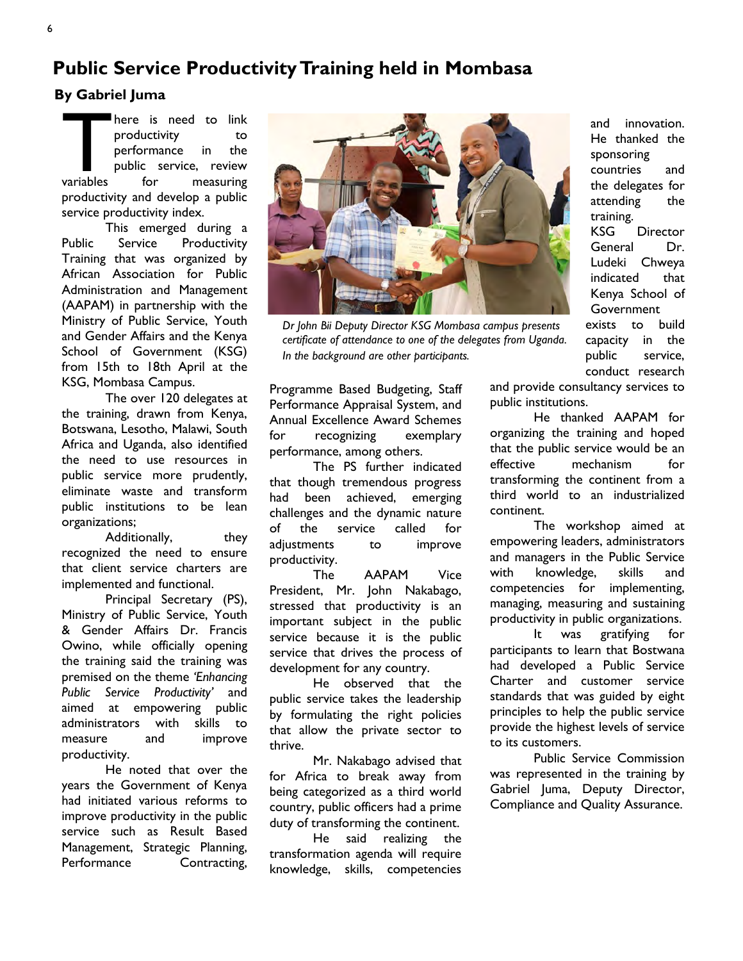# Public Service Productivity Training held in Mombasa

### By Gabriel Juma

variables here is need to link productivity to performance in the public service, review for measuring productivity and develop a public service productivity index.

This emerged during a Public Service Productivity Training that was organized by African Association for Public Administration and Management (AAPAM) in partnership with the Ministry of Public Service, Youth and Gender Affairs and the Kenya School of Government (KSG) from 15th to 18th April at the KSG, Mombasa Campus.

The over 120 delegates at the training, drawn from Kenya, Botswana, Lesotho, Malawi, South Africa and Uganda, also identified the need to use resources in public service more prudently, eliminate waste and transform public institutions to be lean organizations;

Additionally, they recognized the need to ensure that client service charters are implemented and functional.

Principal Secretary (PS), Ministry of Public Service, Youth & Gender Affairs Dr. Francis Owino, while officially opening the training said the training was premised on the theme 'Enhancing Public Service Productivity' and aimed at empowering public administrators with skills to measure and improve productivity.

He noted that over the years the Government of Kenya had initiated various reforms to improve productivity in the public service such as Result Based Management, Strategic Planning, Performance Contracting,



Dr John Bii Deputy Director KSG Mombasa campus presents certificate of attendance to one of the delegates from Uganda. In the background are other participants.

Programme Based Budgeting, Staff Performance Appraisal System, and Annual Excellence Award Schemes for recognizing exemplary performance, among others.

The PS further indicated that though tremendous progress had been achieved, emerging challenges and the dynamic nature of the service called for adjustments to improve productivity.

The AAPAM Vice President, Mr. John Nakabago, stressed that productivity is an important subject in the public service because it is the public service that drives the process of development for any country.

He observed that the public service takes the leadership by formulating the right policies that allow the private sector to thrive.

Mr. Nakabago advised that for Africa to break away from being categorized as a third world country, public officers had a prime duty of transforming the continent.

He said realizing the transformation agenda will require knowledge, skills, competencies

and innovation. He thanked the sponsoring countries and the delegates for attending the training. KSG Director General Dr. Ludeki Chweya indicated that Kenya School of **Government** exists to build capacity in the public service, conduct research

and provide consultancy services to public institutions.

He thanked AAPAM for organizing the training and hoped that the public service would be an effective mechanism for transforming the continent from a third world to an industrialized continent.

The workshop aimed at empowering leaders, administrators and managers in the Public Service with knowledge, skills and competencies for implementing, managing, measuring and sustaining productivity in public organizations.

It was gratifying for participants to learn that Bostwana had developed a Public Service Charter and customer service standards that was guided by eight principles to help the public service provide the highest levels of service to its customers.

Public Service Commission was represented in the training by Gabriel Juma, Deputy Director, Compliance and Quality Assurance.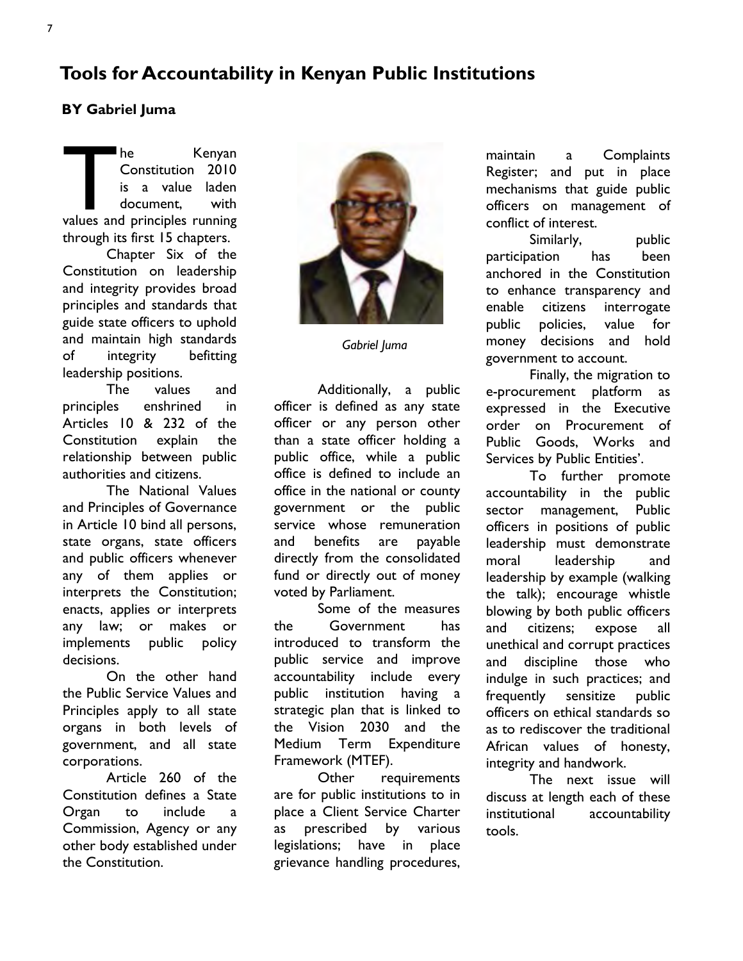## Tools for Accountability in Kenyan Public Institutions

## BY Gabriel Juma

The Kenyan<br>
Constitution 2010<br>
is a value laden<br>
document, with<br>
values and principles running he Kenyan Constitution 2010 is a value laden document, with through its first 15 chapters.

Chapter Six of the Constitution on leadership and integrity provides broad principles and standards that guide state officers to uphold and maintain high standards of integrity befitting leadership positions.

The values and principles enshrined in Articles 10 & 232 of the Constitution explain the relationship between public authorities and citizens.

The National Values and Principles of Governance in Article 10 bind all persons, state organs, state officers and public officers whenever any of them applies or interprets the Constitution; enacts, applies or interprets any law; or makes or implements public policy decisions.

On the other hand the Public Service Values and Principles apply to all state organs in both levels of government, and all state corporations.

Article 260 of the Constitution defines a State Organ to include a Commission, Agency or any other body established under the Constitution.



Gabriel Juma

Additionally, a public officer is defined as any state officer or any person other than a state officer holding a public office, while a public office is defined to include an office in the national or county government or the public service whose remuneration and benefits are payable directly from the consolidated fund or directly out of money voted by Parliament.

Some of the measures the Government has introduced to transform the public service and improve accountability include every public institution having a strategic plan that is linked to the Vision 2030 and the Medium Term Expenditure Framework (MTEF).

Other requirements are for public institutions to in place a Client Service Charter as prescribed by various legislations; have in place grievance handling procedures,

maintain a Complaints Register; and put in place mechanisms that guide public officers on management of conflict of interest.

Similarly, public participation has been anchored in the Constitution to enhance transparency and enable citizens interrogate public policies, value for money decisions and hold government to account.

Finally, the migration to e-procurement platform as expressed in the Executive order on Procurement of Public Goods, Works and Services by Public Entities'.

To further promote accountability in the public sector management, Public officers in positions of public leadership must demonstrate moral leadership and leadership by example (walking the talk); encourage whistle blowing by both public officers and citizens; expose all unethical and corrupt practices and discipline those who indulge in such practices; and frequently sensitize public officers on ethical standards so as to rediscover the traditional African values of honesty, integrity and handwork.

The next issue will discuss at length each of these institutional accountability tools.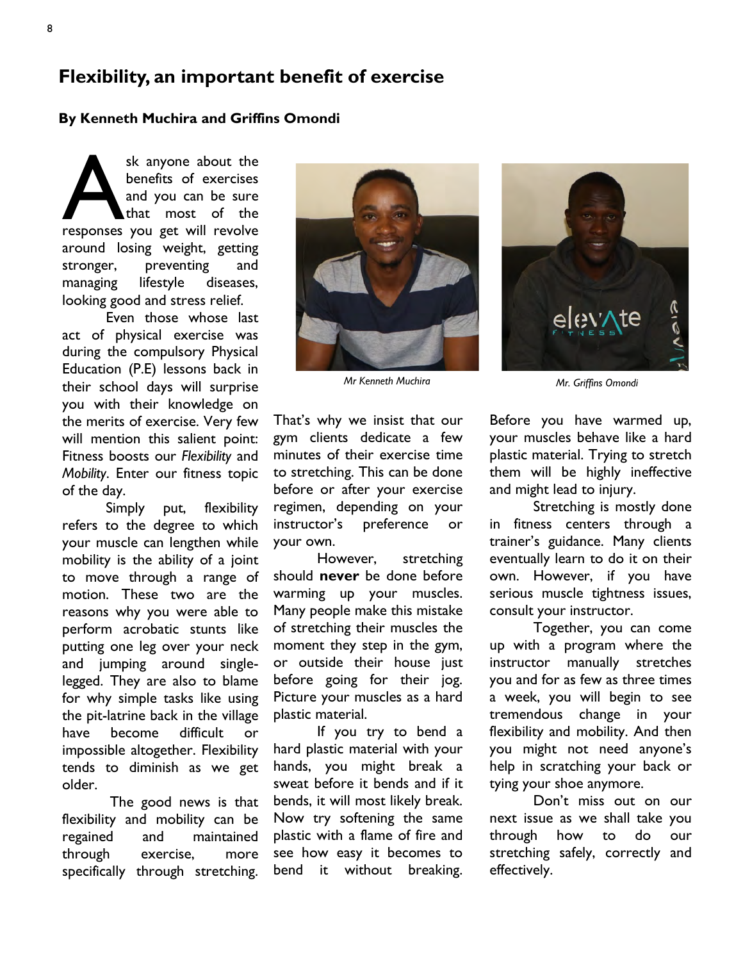## Flexibility, an important benefit of exercise

#### By Kenneth Muchira and Griffins Omondi

sk anyone about the<br>benefits of exercises<br>and you can be sure<br>that most of the<br>responses you get will revolve sk anyone about the benefits of exercises and you can be sure that most of the around losing weight, getting stronger, preventing and managing lifestyle diseases, looking good and stress relief.

Even those whose last act of physical exercise was during the compulsory Physical Education (P.E) lessons back in their school days will surprise you with their knowledge on the merits of exercise. Very few will mention this salient point: Fitness boosts our Flexibility and Mobility. Enter our fitness topic of the day.

Simply put, flexibility refers to the degree to which your muscle can lengthen while mobility is the ability of a joint to move through a range of motion. These two are the reasons why you were able to perform acrobatic stunts like putting one leg over your neck and jumping around singlelegged. They are also to blame for why simple tasks like using the pit-latrine back in the village have become difficult or impossible altogether. Flexibility tends to diminish as we get older.

The good news is that flexibility and mobility can be regained and maintained through exercise, more specifically through stretching.



Mr Kenneth Muchira Mr. Griffins Omondi

That's why we insist that our gym clients dedicate a few minutes of their exercise time to stretching. This can be done before or after your exercise regimen, depending on your instructor's preference or your own.

However, stretching should never be done before warming up your muscles. Many people make this mistake of stretching their muscles the moment they step in the gym, or outside their house just before going for their jog. Picture your muscles as a hard plastic material.

If you try to bend a hard plastic material with your hands, you might break a sweat before it bends and if it bends, it will most likely break. Now try softening the same plastic with a flame of fire and see how easy it becomes to bend it without breaking.



Before you have warmed up, your muscles behave like a hard plastic material. Trying to stretch them will be highly ineffective and might lead to injury.

Stretching is mostly done in fitness centers through a trainer's guidance. Many clients eventually learn to do it on their own. However, if you have serious muscle tightness issues, consult your instructor.

Together, you can come up with a program where the instructor manually stretches you and for as few as three times a week, you will begin to see tremendous change in your flexibility and mobility. And then you might not need anyone's help in scratching your back or tying your shoe anymore.

Don't miss out on our next issue as we shall take you through how to do our stretching safely, correctly and effectively.